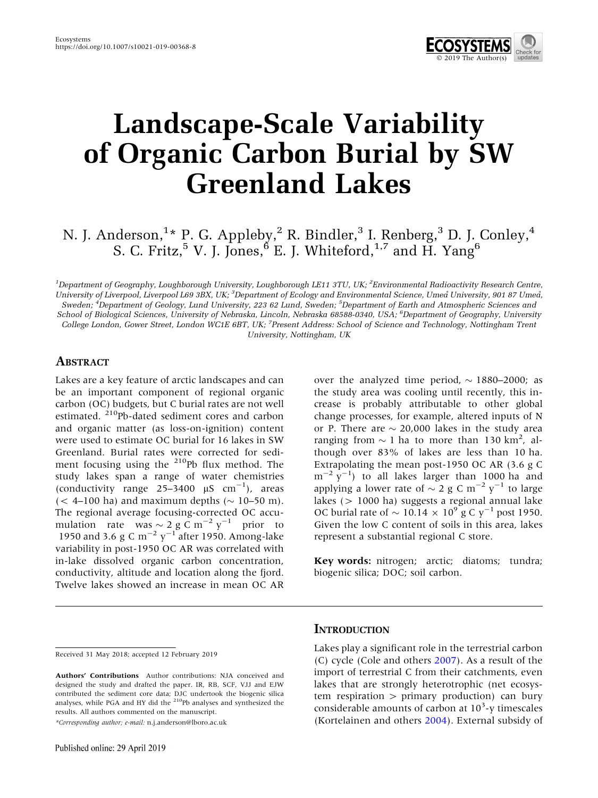

# Landscape-Scale Variability of Organic Carbon Burial by SW Greenland Lakes

# N. J. Anderson,<sup>1</sup>\* P. G. Appleby,<sup>2</sup> R. Bindler,<sup>3</sup> I. Renberg,<sup>3</sup> D. J. Conley,<sup>4</sup> S. C. Fritz,<sup>5</sup> V. J. Jones,<sup>6</sup> E. J. Whiteford,<sup>1,7</sup> and H. Yang<sup>6</sup>

 $^1$ Department of Geography, Loughborough University, Loughborough LE11 3TU, UK;  $^2$ Environmental Radioactivity Research Centre, University of Liverpool, Liverpool L69 3BX, UK; <sup>3</sup>Department of Ecology and Environmental Science, Umea<sup>®</sup> University, 901 87 Umea<sup>®</sup>, Sweden; <sup>4</sup>Department of Geology, Lund University, 223 62 Lund, Sweden; <sup>5</sup>Department of Earth and Atmospheric Sciences and

School of Biological Sciences, University of Nebraska, Lincoln, Nebraska 68588-0340, USA; <sup>6</sup>Department of Geography, University College London, Gower Street, London WC1E 6BT, UK; <sup>7</sup>Present Address: School of Science and Technology, Nottingham Trent University, Nottingham, UK

#### ABSTRACT

Lakes are a key feature of arctic landscapes and can be an important component of regional organic carbon (OC) budgets, but C burial rates are not well estimated. <sup>210</sup>Pb-dated sediment cores and carbon and organic matter (as loss-on-ignition) content were used to estimate OC burial for 16 lakes in SW Greenland. Burial rates were corrected for sediment focusing using the  $210Pb$  flux method. The study lakes span a range of water chemistries (conductivity range  $25-3400 \mu S \text{ cm}^{-1}$ ), areas  $(< 4$ –100 ha) and maximum depths  $(\sim 10$ –50 m). The regional average focusing-corrected OC accumulation rate was  $\sim 2$  g C m<sup>-2</sup> y<sup>-1</sup> prior to 1950 and 3.6 g C m<sup>-2</sup> y<sup>-1</sup> after 1950. Among-lake variability in post-1950 OC AR was correlated with in-lake dissolved organic carbon concentration, conductivity, altitude and location along the fjord. Twelve lakes showed an increase in mean OC AR

over the analyzed time period,  $\sim$  1880–2000; as the study area was cooling until recently, this increase is probably attributable to other global change processes, for example, altered inputs of N or P. There are  $\sim$  20,000 lakes in the study area ranging from  $\sim$  1 ha to more than 130 km<sup>2</sup>, although over 83% of lakes are less than 10 ha. Extrapolating the mean post-1950 OC AR (3.6 g C  $\text{m}^{-2}$  y<sup>-1</sup>) to all lakes larger than 1000 ha and applying a lower rate of  $\sim 2$  g C m<sup>-2</sup> y<sup>-1</sup> to large lakes (> 1000 ha) suggests a regional annual lake OC burial rate of  $\sim 10.14 \times 10^9$  g C y<sup>-1</sup> post 1950. Given the low C content of soils in this area, lakes represent a substantial regional C store.

Key words: nitrogen; arctic; diatoms; tundra; biogenic silica; DOC; soil carbon.

\*Corresponding author; e-mail: n.j.anderson@lboro.ac.uk

#### **INTRODUCTION**

Lakes play a significant role in the terrestrial carbon (C) cycle (Cole and others [2007](#page-13-0)). As a result of the import of terrestrial C from their catchments, even lakes that are strongly heterotrophic (net ecosystem respiration  $>$  primary production) can bury considerable amounts of carbon at 10<sup>3</sup>-y timescales (Kortelainen and others [2004\)](#page-13-0). External subsidy of

Received 31 May 2018; accepted 12 February 2019

Authors' Contributions Author contributions: NJA conceived and designed the study and drafted the paper. IR, RB, SCF, VJJ and EJW contributed the sediment core data; DJC undertook the biogenic silica analyses, while PGA and HY did the 210Pb analyses and synthesized the results. All authors commented on the manuscript.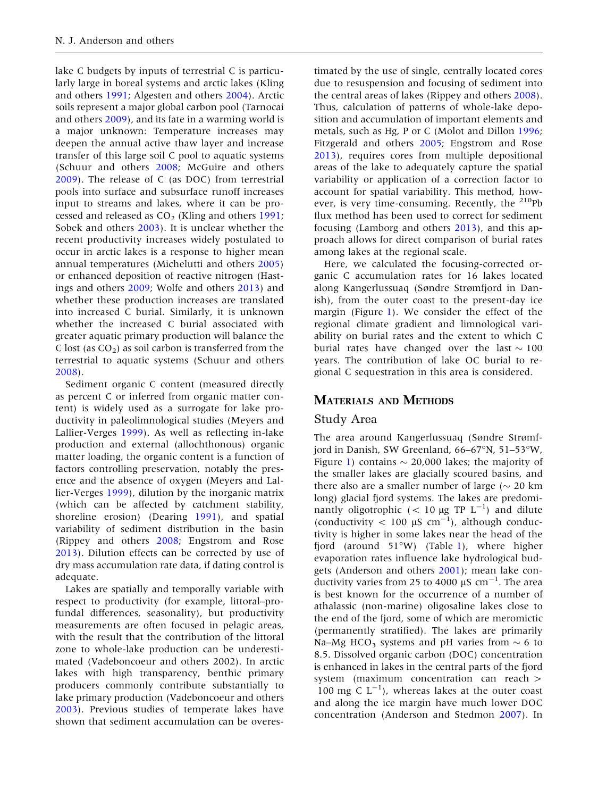lake C budgets by inputs of terrestrial C is particularly large in boreal systems and arctic lakes (Kling and others [1991](#page-13-0); Algesten and others [2004](#page-12-0)). Arctic soils represent a major global carbon pool (Tarnocai and others [2009](#page-14-0)), and its fate in a warming world is a major unknown: Temperature increases may deepen the annual active thaw layer and increase transfer of this large soil C pool to aquatic systems (Schuur and others [2008;](#page-14-0) McGuire and others [2009\)](#page-13-0). The release of C (as DOC) from terrestrial pools into surface and subsurface runoff increases input to streams and lakes, where it can be processed and released as  $CO<sub>2</sub>$  (Kling and others [1991](#page-13-0); Sobek and others [2003\)](#page-14-0). It is unclear whether the recent productivity increases widely postulated to occur in arctic lakes is a response to higher mean annual temperatures (Michelutti and others [2005](#page-14-0)) or enhanced deposition of reactive nitrogen (Hastings and others [2009](#page-13-0); Wolfe and others [2013](#page-14-0)) and whether these production increases are translated into increased C burial. Similarly, it is unknown whether the increased C burial associated with greater aquatic primary production will balance the C lost (as  $CO<sub>2</sub>$ ) as soil carbon is transferred from the terrestrial to aquatic systems (Schuur and others [2008\)](#page-14-0).

Sediment organic C content (measured directly as percent C or inferred from organic matter content) is widely used as a surrogate for lake productivity in paleolimnological studies (Meyers and Lallier-Verges [1999](#page-13-0)). As well as reflecting in-lake production and external (allochthonous) organic matter loading, the organic content is a function of factors controlling preservation, notably the presence and the absence of oxygen (Meyers and Lallier-Verges [1999\)](#page-13-0), dilution by the inorganic matrix (which can be affected by catchment stability, shoreline erosion) (Dearing [1991\)](#page-13-0), and spatial variability of sediment distribution in the basin (Rippey and others [2008](#page-14-0); Engstrom and Rose [2013\)](#page-13-0). Dilution effects can be corrected by use of dry mass accumulation rate data, if dating control is adequate.

Lakes are spatially and temporally variable with respect to productivity (for example, littoral–profundal differences, seasonality), but productivity measurements are often focused in pelagic areas, with the result that the contribution of the littoral zone to whole-lake production can be underestimated (Vadeboncoeur and others 2002). In arctic lakes with high transparency, benthic primary producers commonly contribute substantially to lake primary production (Vadeboncoeur and others [2003\)](#page-14-0). Previous studies of temperate lakes have shown that sediment accumulation can be overes-

timated by the use of single, centrally located cores due to resuspension and focusing of sediment into the central areas of lakes (Rippey and others [2008](#page-14-0)). Thus, calculation of patterns of whole-lake deposition and accumulation of important elements and metals, such as Hg, P or C (Molot and Dillon [1996](#page-14-0); Fitzgerald and others [2005;](#page-13-0) Engstrom and Rose [2013\)](#page-13-0), requires cores from multiple depositional areas of the lake to adequately capture the spatial variability or application of a correction factor to account for spatial variability. This method, however, is very time-consuming. Recently, the  $^{210}Pb$ flux method has been used to correct for sediment focusing (Lamborg and others [2013\)](#page-13-0), and this approach allows for direct comparison of burial rates among lakes at the regional scale.

Here, we calculated the focusing-corrected organic C accumulation rates for 16 lakes located along Kangerlussuaq (Søndre Strømfjord in Danish), from the outer coast to the present-day ice margin (Figure [1](#page-2-0)). We consider the effect of the regional climate gradient and limnological variability on burial rates and the extent to which C burial rates have changed over the last  $\sim 100$ years. The contribution of lake OC burial to regional C sequestration in this area is considered.

#### MATERIALS AND METHODS

#### Study Area

The area around Kangerlussuaq (Søndre Strømfjord in Danish, SW Greenland,  $66-67^{\circ}N$ ,  $51-53^{\circ}W$ , Figure [1](#page-2-0)) contains  $\sim$  20,000 lakes; the majority of the smaller lakes are glacially scoured basins, and there also are a smaller number of large ( $\sim$  20 km long) glacial fjord systems. The lakes are predominantly oligotrophic  $(< 10 \mu g$  TP L<sup>-1</sup>) and dilute (conductivity  $< 100 \mu S \text{ cm}^{-1}$ ), although conductivity is higher in some lakes near the head of the fjord (around 51 $\textdegree W$ ) (Table [1\)](#page-2-0), where higher evaporation rates influence lake hydrological budgets (Anderson and others [2001\)](#page-12-0); mean lake conductivity varies from 25 to 4000  $\mu$ S cm<sup>-1</sup>. The area is best known for the occurrence of a number of athalassic (non-marine) oligosaline lakes close to the end of the fjord, some of which are meromictic (permanently stratified). The lakes are primarily Na–Mg HCO<sub>3</sub> systems and pH varies from  $\sim$  6 to 8.5. Dissolved organic carbon (DOC) concentration is enhanced in lakes in the central parts of the fjord system (maximum concentration can reach > 100 mg C  $L^{-1}$ ), whereas lakes at the outer coast and along the ice margin have much lower DOC concentration (Anderson and Stedmon [2007](#page-12-0)). In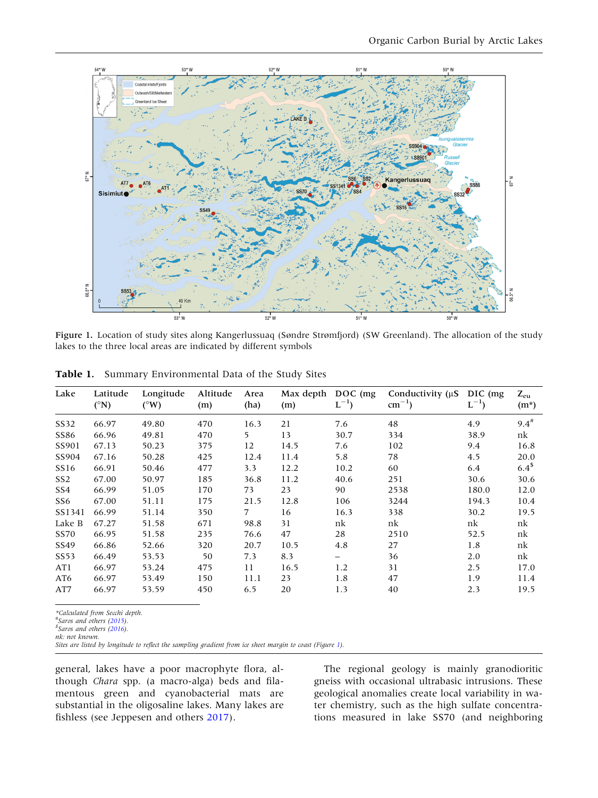<span id="page-2-0"></span>

Figure 1. Location of study sites along Kangerlussuaq (Søndre Strømfjord) (SW Greenland). The allocation of the study lakes to the three local areas are indicated by different symbols

| Lake             | Latitude<br>$({}^{\circ}{\rm N})$ | Longitude<br>$(^{\circ}W)$ | Altitude<br>(m) | Area<br>(ha) | Max depth<br>(m) | $DOC$ (mg)<br>$L^{-1}$ ) | Conductivity $(\mu S)$<br>$cm^{-1}$ ) | DIC (mg)<br>$L^{-1}$ ) | $Z_{eu}$<br>$(m^*)$ |
|------------------|-----------------------------------|----------------------------|-----------------|--------------|------------------|--------------------------|---------------------------------------|------------------------|---------------------|
| SS32             | 66.97                             | 49.80                      | 470             | 16.3         | 21               | 7.6                      | 48                                    | 4.9                    | $9.4^{\#}$          |
| SS86             | 66.96                             | 49.81                      | 470             | 5            | 13               | 30.7                     | 334                                   | 38.9                   | nk                  |
| SS901            | 67.13                             | 50.23                      | 375             | 12           | 14.5             | 7.6                      | 102                                   | 9.4                    | 16.8                |
| SS904            | 67.16                             | 50.28                      | 425             | 12.4         | 11.4             | 5.8                      | 78                                    | 4.5                    | 20.0                |
| SS <sub>16</sub> | 66.91                             | 50.46                      | 477             | 3.3          | 12.2             | 10.2                     | 60                                    | 6.4                    | $6.4^{\$}$          |
| SS <sub>2</sub>  | 67.00                             | 50.97                      | 185             | 36.8         | 11.2             | 40.6                     | 251                                   | 30.6                   | 30.6                |
| SS4              | 66.99                             | 51.05                      | 170             | 73           | 23               | 90                       | 2538                                  | 180.0                  | 12.0                |
| SS6              | 67.00                             | 51.11                      | 175             | 21.5         | 12.8             | 106                      | 3244                                  | 194.3                  | 10.4                |
| SS1341           | 66.99                             | 51.14                      | 350             | 7            | 16               | 16.3                     | 338                                   | 30.2                   | 19.5                |
| Lake B           | 67.27                             | 51.58                      | 671             | 98.8         | 31               | nk                       | nk                                    | nk                     | nk                  |
| SS70             | 66.95                             | 51.58                      | 235             | 76.6         | 47               | 28                       | 2510                                  | 52.5                   | nk                  |
| SS49             | 66.86                             | 52.66                      | 320             | 20.7         | 10.5             | 4.8                      | 27                                    | 1.8                    | nk                  |
| SS <sub>53</sub> | 66.49                             | 53.53                      | 50              | 7.3          | 8.3              | $\overline{\phantom{0}}$ | 36                                    | 2.0                    | nk                  |
| AT1              | 66.97                             | 53.24                      | 475             | 11           | 16.5             | 1.2                      | 31                                    | 2.5                    | 17.0                |
| AT6              | 66.97                             | 53.49                      | 150             | 11.1         | 23               | 1.8                      | 47                                    | 1.9                    | 11.4                |
| AT7              | 66.97                             | 53.59                      | 450             | 6.5          | 20               | 1.3                      | 40                                    | 2.3                    | 19.5                |

Table 1. Summary Environmental Data of the Study Sites

\*Calculated from Secchi depth.

#Saros and others [\(2015](#page-14-0)).<br>\$Saros and others (2016).

Saros and others [\(2016](#page-14-0)). nk: not known.

Sites are listed by longitude to reflect the sampling gradient from ice sheet margin to coast (Figure 1).

general, lakes have a poor macrophyte flora, although Chara spp. (a macro-alga) beds and filamentous green and cyanobacterial mats are substantial in the oligosaline lakes. Many lakes are fishless (see Jeppesen and others [2017\)](#page-13-0).

The regional geology is mainly granodioritic gneiss with occasional ultrabasic intrusions. These geological anomalies create local variability in water chemistry, such as the high sulfate concentrations measured in lake SS70 (and neighboring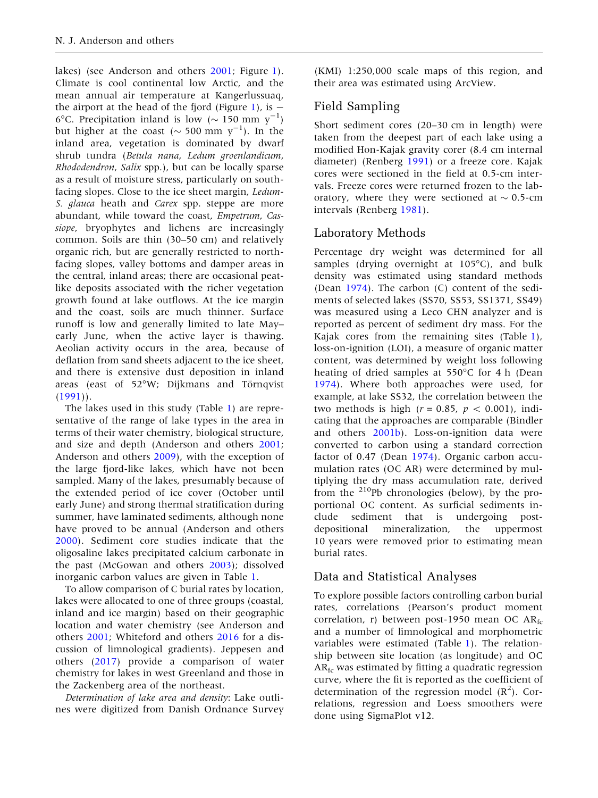lakes) (see Anderson and others [2001;](#page-12-0) Figure [1](#page-2-0)). Climate is cool continental low Arctic, and the mean annual air temperature at Kangerlussuaq, the airport at the head of the fjord (Figure [1](#page-2-0)), is  $-$ 6°C. Precipitation inland is low ( $\sim$  150 mm y<sup>-1</sup>) but higher at the coast ( $\sim$  500 mm y<sup>-1</sup>). In the inland area, vegetation is dominated by dwarf shrub tundra (Betula nana, Ledum groenlandicum, Rhododendron, Salix spp.), but can be locally sparse as a result of moisture stress, particularly on southfacing slopes. Close to the ice sheet margin, Ledum-S. glauca heath and Carex spp. steppe are more abundant, while toward the coast, Empetrum, Cassiope, bryophytes and lichens are increasingly common. Soils are thin (30–50 cm) and relatively organic rich, but are generally restricted to northfacing slopes, valley bottoms and damper areas in the central, inland areas; there are occasional peatlike deposits associated with the richer vegetation growth found at lake outflows. At the ice margin and the coast, soils are much thinner. Surface runoff is low and generally limited to late May– early June, when the active layer is thawing. Aeolian activity occurs in the area, because of deflation from sand sheets adjacent to the ice sheet, and there is extensive dust deposition in inland areas (east of 52°W; Dijkmans and Törnqvist  $(1991)$  $(1991)$ .

The lakes used in this study (Table [1](#page-2-0)) are representative of the range of lake types in the area in terms of their water chemistry, biological structure, and size and depth (Anderson and others [2001](#page-12-0); Anderson and others [2009\)](#page-12-0), with the exception of the large fjord-like lakes, which have not been sampled. Many of the lakes, presumably because of the extended period of ice cover (October until early June) and strong thermal stratification during summer, have laminated sediments, although none have proved to be annual (Anderson and others [2000\)](#page-12-0). Sediment core studies indicate that the oligosaline lakes precipitated calcium carbonate in the past (McGowan and others [2003\)](#page-13-0); dissolved inorganic carbon values are given in Table [1.](#page-2-0)

To allow comparison of C burial rates by location, lakes were allocated to one of three groups (coastal, inland and ice margin) based on their geographic location and water chemistry (see Anderson and others [2001](#page-12-0); Whiteford and others [2016](#page-14-0) for a discussion of limnological gradients). Jeppesen and others [\(2017](#page-13-0)) provide a comparison of water chemistry for lakes in west Greenland and those in the Zackenberg area of the northeast.

Determination of lake area and density: Lake outlines were digitized from Danish Ordnance Survey

(KMI) 1:250,000 scale maps of this region, and their area was estimated using ArcView.

## Field Sampling

Short sediment cores (20–30 cm in length) were taken from the deepest part of each lake using a modified Hon-Kajak gravity corer (8.4 cm internal diameter) (Renberg [1991](#page-14-0)) or a freeze core. Kajak cores were sectioned in the field at 0.5-cm intervals. Freeze cores were returned frozen to the laboratory, where they were sectioned at  $\sim$  0.5-cm intervals (Renberg [1981\)](#page-14-0).

## Laboratory Methods

Percentage dry weight was determined for all samples (drying overnight at  $105^{\circ}$ C), and bulk density was estimated using standard methods (Dean [1974](#page-13-0)). The carbon (C) content of the sediments of selected lakes (SS70, SS53, SS1371, SS49) was measured using a Leco CHN analyzer and is reported as percent of sediment dry mass. For the Kajak cores from the remaining sites (Table [1](#page-2-0)), loss-on-ignition (LOI), a measure of organic matter content, was determined by weight loss following heating of dried samples at  $550^{\circ}$ C for 4 h (Dean [1974\)](#page-13-0). Where both approaches were used, for example, at lake SS32, the correlation between the two methods is high ( $r = 0.85$ ,  $p < 0.001$ ), indicating that the approaches are comparable (Bindler and others [2001b\)](#page-12-0). Loss-on-ignition data were converted to carbon using a standard correction factor of 0.47 (Dean [1974\)](#page-13-0). Organic carbon accumulation rates (OC AR) were determined by multiplying the dry mass accumulation rate, derived from the  $^{210}$ Pb chronologies (below), by the proportional OC content. As surficial sediments include sediment that is undergoing postdepositional mineralization, the uppermost 10 years were removed prior to estimating mean burial rates.

## Data and Statistical Analyses

To explore possible factors controlling carbon burial rates, correlations (Pearson's product moment correlation, r) between post-1950 mean OC  $AR_{fc}$ and a number of limnological and morphometric variables were estimated (Table [1](#page-2-0)). The relationship between site location (as longitude) and OC  $AR<sub>fc</sub>$  was estimated by fitting a quadratic regression curve, where the fit is reported as the coefficient of determination of the regression model  $(R^2)$ . Correlations, regression and Loess smoothers were done using SigmaPlot v12.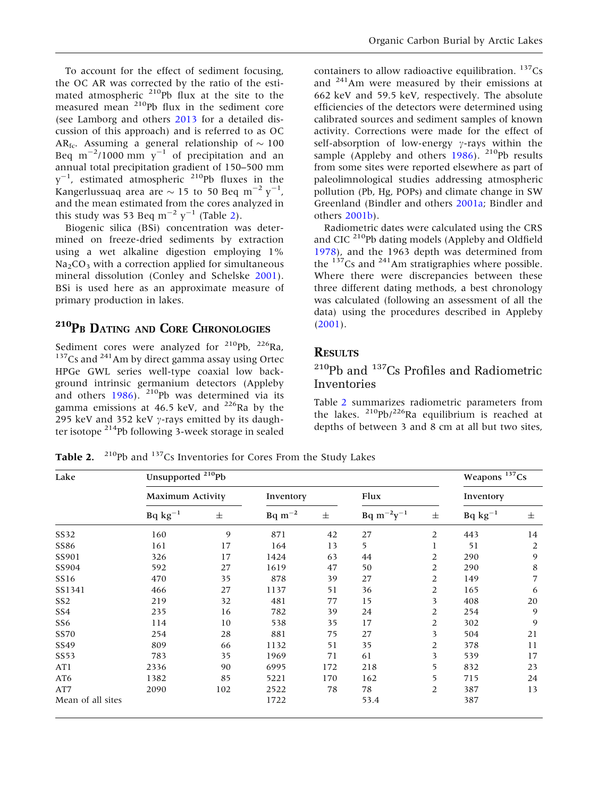<span id="page-4-0"></span>To account for the effect of sediment focusing, the OC AR was corrected by the ratio of the estimated atmospheric  $210$ Pb flux at the site to the measured mean <sup>210</sup>Pb flux in the sediment core (see Lamborg and others [2013](#page-13-0) for a detailed discussion of this approach) and is referred to as OC AR<sub>fc</sub>. Assuming a general relationship of  $\sim 100$ Beq m<sup>-2</sup>/1000 mm  $y^{-1}$  of precipitation and an annual total precipitation gradient of 150–500 mm  $y^{-1}$ , estimated atmospheric <sup>210</sup>Pb fluxes in the Kangerlussuaq area are  $\sim$  15 to 50 Beq m<sup>-2</sup> y<sup>-1</sup>, and the mean estimated from the cores analyzed in this study was 53 Beq m<sup>-2</sup> y<sup>-1</sup> (Table 2).

Biogenic silica (BSi) concentration was determined on freeze-dried sediments by extraction using a wet alkaline digestion employing 1%  $Na<sub>2</sub>CO<sub>3</sub>$  with a correction applied for simultaneous mineral dissolution (Conley and Schelske [2001](#page-13-0)). BSi is used here as an approximate measure of primary production in lakes.

## <sup>210</sup>PB DATING AND CORE CHRONOLOGIES

Sediment cores were analyzed for <sup>210</sup>Pb, <sup>226</sup>Ra, <sup>137</sup>Cs and <sup>241</sup>Am by direct gamma assay using Ortec HPGe GWL series well-type coaxial low background intrinsic germanium detectors (Appleby and others  $1986$ ). <sup>210</sup>Pb was determined via its gamma emissions at 46.5 keV, and  $^{226}$ Ra by the 295 keV and 352 keV  $\gamma$ -rays emitted by its daughter isotope 214Pb following 3-week storage in sealed

containers to allow radioactive equilibration.  $137Cs$ and 241Am were measured by their emissions at 662 keV and 59.5 keV, respectively. The absolute efficiencies of the detectors were determined using calibrated sources and sediment samples of known activity. Corrections were made for the effect of self-absorption of low-energy  $\gamma$ -rays within the sample (Appleby and others  $1986$ ). <sup>210</sup>Pb results from some sites were reported elsewhere as part of paleolimnological studies addressing atmospheric pollution (Pb, Hg, POPs) and climate change in SW Greenland (Bindler and others [2001a](#page-12-0); Bindler and others [2001b](#page-12-0)).

Radiometric dates were calculated using the CRS and CIC 210Pb dating models (Appleby and Oldfield [1978\)](#page-12-0), and the 1963 depth was determined from the  $137$ Cs and  $241$ Am stratigraphies where possible. Where there were discrepancies between these three different dating methods, a best chronology was calculated (following an assessment of all the data) using the procedures described in Appleby ([2001\)](#page-12-0).

#### **RESULTS**

## 210Pb and 137Cs Profiles and Radiometric Inventories

Table 2 summarizes radiometric parameters from the lakes. 210Pb/226Ra equilibrium is reached at depths of between 3 and 8 cm at all but two sites,

Table 2. <sup>210</sup>Pb and <sup>137</sup>Cs Inventories for Cores From the Study Lakes

| Lake              | Unsupported <sup>210</sup> Pb |              |                |       |                      |       |              | Weapons <sup>137</sup> Cs |  |
|-------------------|-------------------------------|--------------|----------------|-------|----------------------|-------|--------------|---------------------------|--|
|                   | Maximum Activity              |              | Inventory      |       | Flux                 |       | Inventory    |                           |  |
|                   | $Bq kg^{-1}$                  | $\pm$        | $Bq \, m^{-2}$ | $\pm$ | $Bq \, m^{-2}y^{-1}$ | $\pm$ | $Bq kg^{-1}$ | $\pm$                     |  |
| SS32              | 160                           | $\mathbf{9}$ | 871            | 42    | 27                   | 2     | 443          | 14                        |  |
| SS86              | 161                           | 17           | 164            | 13    | 5                    | 1     | 51           | 2                         |  |
| SS901             | 326                           | 17           | 1424           | 63    | 44                   | 2     | 290          | 9                         |  |
| SS904             | 592                           | 27           | 1619           | 47    | 50                   | 2     | 290          | 8                         |  |
| SS16              | 470                           | 35           | 878            | 39    | 27                   | 2     | 149          | 7                         |  |
| SS1341            | 466                           | 27           | 1137           | 51    | 36                   | 2     | 165          | 6                         |  |
| SS <sub>2</sub>   | 219                           | 32           | 481            | 77    | 15                   | 3     | 408          | 20                        |  |
| SS4               | 235                           | 16           | 782            | 39    | 24                   | 2     | 254          | 9                         |  |
| SS6               | 114                           | 10           | 538            | 35    | 17                   | 2     | 302          | 9                         |  |
| SS70              | 254                           | 28           | 881            | 75    | 27                   | 3     | 504          | 21                        |  |
| SS49              | 809                           | 66           | 1132           | 51    | 35                   | 2     | 378          | 11                        |  |
| SS53              | 783                           | 35           | 1969           | 71    | 61                   | 3     | 539          | 17                        |  |
| AT1               | 2336                          | 90           | 6995           | 172   | 218                  | 5     | 832          | 23                        |  |
| AT6               | 1382                          | 85           | 5221           | 170   | 162                  | 5     | 715          | 24                        |  |
| AT7               | 2090                          | 102          | 2522           | 78    | 78                   | 2     | 387          | 13                        |  |
| Mean of all sites |                               | 1722         |                | 53.4  |                      | 387   |              |                           |  |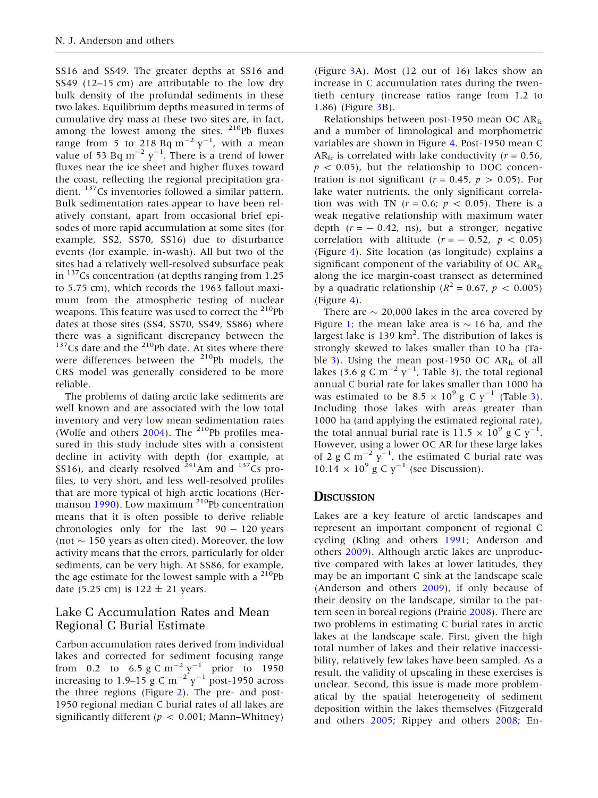SS16 and SS49. The greater depths at SS16 and SS49 (12–15 cm) are attributable to the low dry bulk density of the profundal sediments in these two lakes. Equilibrium depths measured in terms of cumulative dry mass at these two sites are, in fact, among the lowest among the sites.  $210Pb$  fluxes range from 5 to 218 Bq  $\text{m}^{-2} \text{ y}^{-1}$ , with a mean value of 53 Bq  $m^{-2}$   $y^{-1}$ . There is a trend of lower fluxes near the ice sheet and higher fluxes toward the coast, reflecting the regional precipitation gradient. <sup>137</sup>Cs inventories followed a similar pattern. Bulk sedimentation rates appear to have been relatively constant, apart from occasional brief episodes of more rapid accumulation at some sites (for example, SS2, SS70, SS16) due to disturbance events (for example, in-wash). All but two of the sites had a relatively well-resolved subsurface peak in  $137$ Cs concentration (at depths ranging from 1.25 to 5.75 cm), which records the 1963 fallout maximum from the atmospheric testing of nuclear weapons. This feature was used to correct the <sup>210</sup>Pb dates at those sites (SS4, SS70, SS49, SS86) where there was a significant discrepancy between the  $137$ Cs date and the  $210$ Pb date. At sites where there were differences between the <sup>210</sup>Pb models, the CRS model was generally considered to be more reliable.

The problems of dating arctic lake sediments are well known and are associated with the low total inventory and very low mean sedimentation rates (Wolfe and others  $2004$ ). The <sup>210</sup>Pb profiles measured in this study include sites with a consistent decline in activity with depth (for example, at SS16), and clearly resolved  $^{241}$ Am and  $^{137}$ Cs profiles, to very short, and less well-resolved profiles that are more typical of high arctic locations (Her-manson [1990\)](#page-13-0). Low maximum <sup>210</sup>Pb concentration means that it is often possible to derive reliable chronologies only for the last  $90 - 120$  years (not  $\sim$  150 years as often cited). Moreover, the low activity means that the errors, particularly for older sediments, can be very high. At SS86, for example, the age estimate for the lowest sample with a  $^{210}Pb$ date (5.25 cm) is  $122 \pm 21$  years.

## Lake C Accumulation Rates and Mean Regional C Burial Estimate

Carbon accumulation rates derived from individual lakes and corrected for sediment focusing range from 0.2 to 6.5 g C m<sup>-2</sup>  $y^{-1}$  prior to 1950 increasing to 1.9–15 g C m<sup>-2'</sup>y<sup>-1</sup> post-1950 across the three regions (Figure [2](#page-6-0)). The pre- and post-1950 regional median C burial rates of all lakes are significantly different ( $p < 0.001$ ; Mann–Whitney)

(Figure [3A](#page-6-0)). Most (12 out of 16) lakes show an increase in C accumulation rates during the twentieth century (increase ratios range from 1.2 to 1.86) (Figure [3](#page-6-0)B).

Relationships between post-1950 mean OC  $AR_{fc}$ and a number of limnological and morphometric variables are shown in Figure [4](#page-7-0). Post-1950 mean C AR<sub>fc</sub> is correlated with lake conductivity ( $r = 0.56$ ,  $p < 0.05$ ), but the relationship to DOC concentration is not significant ( $r = 0.45$ ,  $p > 0.05$ ). For lake water nutrients, the only significant correlation was with TN ( $r = 0.6$ ;  $p < 0.05$ ). There is a weak negative relationship with maximum water depth  $(r = -0.42, \text{ ns})$ , but a stronger, negative correlation with altitude  $(r = -0.52, p < 0.05)$ (Figure [4\)](#page-7-0). Site location (as longitude) explains a significant component of the variability of OC  $AR_{fc}$ along the ice margin-coast transect as determined by a quadratic relationship ( $R^2 = 0.67$ ,  $p < 0.005$ )  $(Figure 4)$  $(Figure 4)$ .

There are  $\sim$  20,000 lakes in the area covered by Figure [1](#page-2-0); the mean lake area is  $\sim$  16 ha, and the largest lake is 139  $km^2$ . The distribution of lakes is strongly skewed to lakes smaller than 10 ha (Ta-ble [3\)](#page-7-0). Using the mean post-1950 OC  $AR<sub>fc</sub>$  of all lakes ([3](#page-7-0).6 g C m<sup>-2</sup> y<sup>-1</sup>, Table 3), the total regional annual C burial rate for lakes smaller than 1000 ha was estimated to be  $8.5 \times 10^9$  g C y<sup>-1</sup> (Table [3](#page-7-0)). Including those lakes with areas greater than 1000 ha (and applying the estimated regional rate), the total annual burial rate is 11.5  $\times$  10<sup>9</sup> g C y<sup>-1</sup>. However, using a lower OC AR for these large lakes of 2 g C m<sup>-2</sup>  $y^{-1}$ , the estimated C burial rate was  $10.14 \times 10^9$  g C y<sup>-1</sup> (see Discussion).

#### **DISCUSSION**

Lakes are a key feature of arctic landscapes and represent an important component of regional C cycling (Kling and others [1991](#page-13-0); Anderson and others [2009](#page-12-0)). Although arctic lakes are unproductive compared with lakes at lower latitudes, they may be an important C sink at the landscape scale (Anderson and others [2009\)](#page-12-0), if only because of their density on the landscape, similar to the pattern seen in boreal regions (Prairie [2008](#page-14-0)). There are two problems in estimating C burial rates in arctic lakes at the landscape scale. First, given the high total number of lakes and their relative inaccessibility, relatively few lakes have been sampled. As a result, the validity of upscaling in these exercises is unclear. Second, this issue is made more problematical by the spatial heterogeneity of sediment deposition within the lakes themselves (Fitzgerald and others [2005](#page-13-0); Rippey and others [2008](#page-14-0); En-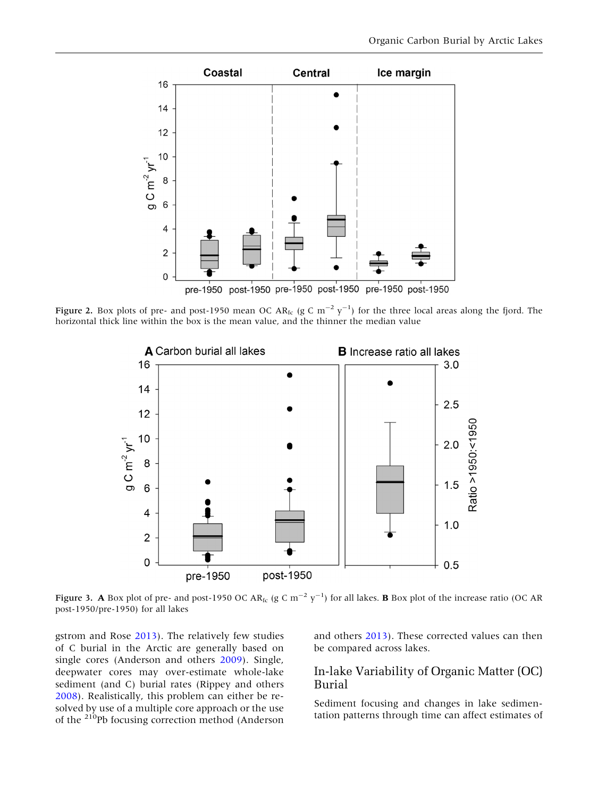<span id="page-6-0"></span>

Figure 2. Box plots of pre- and post-1950 mean OC AR<sub>fc</sub> (g C m<sup>-2</sup> y<sup>-1</sup>) for the three local areas along the fjord. The horizontal thick line within the box is the mean value, and the thinner the median value



Figure 3. A Box plot of pre- and post-1950 OC AR<sub>fc</sub> (g C m<sup>-2</sup> y<sup>-1</sup>) for all lakes. **B** Box plot of the increase ratio (OC AR post-1950/pre-1950) for all lakes

gstrom and Rose [2013\)](#page-13-0). The relatively few studies of C burial in the Arctic are generally based on single cores (Anderson and others [2009\)](#page-12-0). Single, deepwater cores may over-estimate whole-lake sediment (and C) burial rates (Rippey and others [2008\)](#page-14-0). Realistically, this problem can either be resolved by use of a multiple core approach or the use of the <sup>210</sup>Pb focusing correction method (Anderson and others [2013\)](#page-12-0). These corrected values can then be compared across lakes.

## In-lake Variability of Organic Matter (OC) Burial

Sediment focusing and changes in lake sedimentation patterns through time can affect estimates of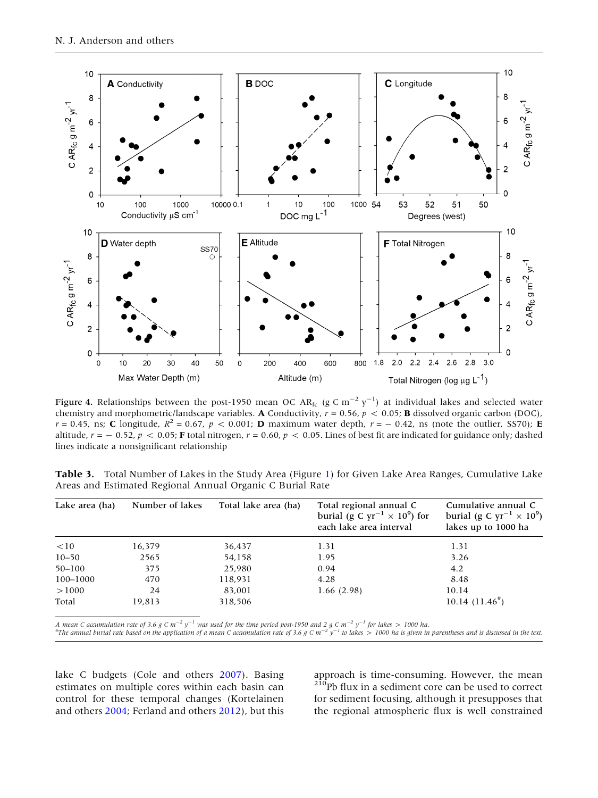<span id="page-7-0"></span>

Figure 4. Relationships between the post-1950 mean OC AR<sub>fc</sub> (g C m $^{-2}$  y $^{-1}$ ) at individual lakes and selected water chemistry and morphometric/landscape variables. A Conductivity,  $r = 0.56$ ,  $p < 0.05$ ; **B** dissolved organic carbon (DOC),  $r = 0.45$ , ns; C longitude,  $R^2 = 0.67$ ,  $p < 0.001$ ; D maximum water depth,  $r = -0.42$ , ns (note the outlier, SS70); E altitude,  $r = -0.52$ ,  $p < 0.05$ ; F total nitrogen,  $r = 0.60$ ,  $p < 0.05$ . Lines of best fit are indicated for guidance only; dashed lines indicate a nonsignificant relationship

Table 3. Total Number of Lakes in the Study Area (Figure [1](#page-2-0)) for Given Lake Area Ranges, Cumulative Lake Areas and Estimated Regional Annual Organic C Burial Rate

| Lake area (ha) | Number of lakes | Total lake area (ha) | Total regional annual C<br>burial (g C $yr^{-1} \times 10^9$ ) for<br>each lake area interval | Cumulative annual C<br>burial (g C yr <sup>-1</sup> $\times$ 10 <sup>9</sup> )<br>lakes up to 1000 ha |
|----------------|-----------------|----------------------|-----------------------------------------------------------------------------------------------|-------------------------------------------------------------------------------------------------------|
| <10            | 16,379          | 36,437               | 1.31                                                                                          | 1.31                                                                                                  |
| $10 - 50$      | 2565            | 54,158               | 1.95                                                                                          | 3.26                                                                                                  |
| $50 - 100$     | 375             | 25,980               | 0.94                                                                                          | 4.2                                                                                                   |
| 100-1000       | 470             | 118,931              | 4.28                                                                                          | 8.48                                                                                                  |
| >1000          | 24              | 83,001               | 1.66(2.98)                                                                                    | 10.14                                                                                                 |
| Total          | 19,813          | 318,506              |                                                                                               | $10.14(11.46^*)$                                                                                      |

A mean C accumulation rate of 3.6 g C m<sup>-2</sup> y<sup>-1</sup> was used for the time period post-1950 and 2 g C m<sup>-2</sup> y<sup>-1</sup> for lakes > 1000 ha.<br>#The annual burial rate based on the application of a mean C accumulation rate of 3.6 g C

lake C budgets (Cole and others [2007](#page-13-0)). Basing estimates on multiple cores within each basin can control for these temporal changes (Kortelainen and others [2004](#page-13-0); Ferland and others [2012](#page-13-0)), but this

approach is time-consuming. However, the mean <sup>210</sup>Pb flux in a sediment core can be used to correct for sediment focusing, although it presupposes that the regional atmospheric flux is well constrained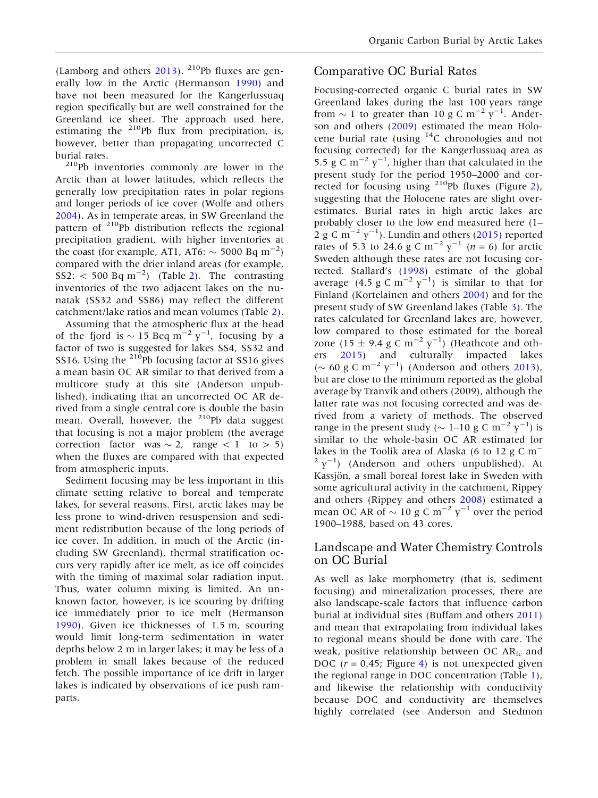(Lamborg and others  $2013$ ). <sup>210</sup>Pb fluxes are generally low in the Arctic (Hermanson [1990](#page-13-0)) and have not been measured for the Kangerlussuaq region specifically but are well constrained for the Greenland ice sheet. The approach used here, estimating the <sup>210</sup>Pb flux from precipitation, is, however, better than propagating uncorrected C

burial rates.<br><sup>210</sup>Pb inventories commonly are lower in the Arctic than at lower latitudes, which reflects the generally low precipitation rates in polar regions and longer periods of ice cover (Wolfe and others [2004\)](#page-14-0). As in temperate areas, in SW Greenland the pattern of 210Pb distribution reflects the regional precipitation gradient, with higher inventories at the coast (for example, AT1, AT6:  $\sim$  5000 Bq m<sup>-2</sup>) compared with the drier inland areas (for example,  $SS2: < 500 \text{ Bq m}^{-2}$  $SS2: < 500 \text{ Bq m}^{-2}$  $SS2: < 500 \text{ Bq m}^{-2}$  (Table 2). The contrasting inventories of the two adjacent lakes on the nunatak (SS32 and SS86) may reflect the different catchment/lake ratios and mean volumes (Table [2](#page-4-0)).

Assuming that the atmospheric flux at the head of the fjord is  $\sim$  15 Beq m<sup>-2</sup> y<sup>-1</sup>, focusing by a factor of two is suggested for lakes SS4, SS32 and SS16. Using the <sup>210</sup>Pb focusing factor at SS16 gives a mean basin OC AR similar to that derived from a multicore study at this site (Anderson unpublished), indicating that an uncorrected OC AR derived from a single central core is double the basin mean. Overall, however, the <sup>210</sup>Pb data suggest that focusing is not a major problem (the average correction factor was  $\sim$  2, range  $\lt$  1 to  $>$  5) when the fluxes are compared with that expected from atmospheric inputs.

Sediment focusing may be less important in this climate setting relative to boreal and temperate lakes, for several reasons. First, arctic lakes may be less prone to wind-driven resuspension and sediment redistribution because of the long periods of ice cover. In addition, in much of the Arctic (including SW Greenland), thermal stratification occurs very rapidly after ice melt, as ice off coincides with the timing of maximal solar radiation input. Thus, water column mixing is limited. An unknown factor, however, is ice scouring by drifting ice immediately prior to ice melt (Hermanson [1990\)](#page-13-0). Given ice thicknesses of 1.5 m, scouring would limit long-term sedimentation in water depths below 2 m in larger lakes; it may be less of a problem in small lakes because of the reduced fetch. The possible importance of ice drift in larger lakes is indicated by observations of ice push ramparts.

## Comparative OC Burial Rates

Focusing-corrected organic C burial rates in SW Greenland lakes during the last 100 years range from  $\sim 1$  to greater than 10 g C m<sup>-2</sup> y<sup>-1</sup>. Anderson and others ([2009\)](#page-12-0) estimated the mean Holocene burial rate (using 14C chronologies and not focusing corrected) for the Kangerlussuaq area as 5.5 g C  $\text{m}^{-2}$  y<sup>-1</sup>, higher than that calculated in the present study for the period 1950–2000 and corrected for focusing using 210Pb fluxes (Figure [2](#page-6-0)), suggesting that the Holocene rates are slight overestimates. Burial rates in high arctic lakes are probably closer to the low end measured here (1–  $2 \text{ g C m}^{-2} \text{ y}^{-1}$ ). Lundin and others [\(2015](#page-13-0)) reported rates of 5.3 to 24.6 g C m<sup>-2</sup> y<sup>-1</sup> (n = 6) for arctic Sweden although these rates are not focusing corrected. Stallard's ([1998\)](#page-14-0) estimate of the global average  $(4.5 \text{ g C m}^{-2} \text{ y}^{-1})$  is similar to that for Finland (Kortelainen and others [2004\)](#page-13-0) and for the present study of SW Greenland lakes (Table [3](#page-7-0)). The rates calculated for Greenland lakes are, however, low compared to those estimated for the boreal zone (15  $\pm$  9.4 g C m<sup>-2</sup> y<sup>-1</sup>) (Heathcote and others [2015](#page-13-0)) and culturally impacted lakes ( $\sim$  60 g C m<sup>-2</sup> y<sup>-1</sup>) (Anderson and others [2013](#page-12-0)), but are close to the minimum reported as the global average by Tranvik and others (2009), although the latter rate was not focusing corrected and was derived from a variety of methods. The observed range in the present study ( $\sim$  1–10 g C m<sup>-2</sup> y<sup>-1</sup>) is similar to the whole-basin OC AR estimated for lakes in the Toolik area of Alaska (6 to 12 g C  $m^ 2 y^{-1}$ ) (Anderson and others unpublished). At Kassjön, a small boreal forest lake in Sweden with some agricultural activity in the catchment, Rippey and others (Rippey and others [2008\)](#page-14-0) estimated a mean OC AR of  $\sim$  10 g C m<sup>-2</sup> y<sup>-1</sup> over the period 1900–1988, based on 43 cores.

## Landscape and Water Chemistry Controls on OC Burial

As well as lake morphometry (that is, sediment focusing) and mineralization processes, there are also landscape-scale factors that influence carbon burial at individual sites (Buffam and others [2011](#page-13-0)) and mean that extrapolating from individual lakes to regional means should be done with care. The weak, positive relationship between OC  $AR_{fc}$  and DOC ( $r = 0.45$  $r = 0.45$  $r = 0.45$ ; Figure 4) is not unexpected given the regional range in DOC concentration (Table [1](#page-2-0)), and likewise the relationship with conductivity because DOC and conductivity are themselves highly correlated (see Anderson and Stedmon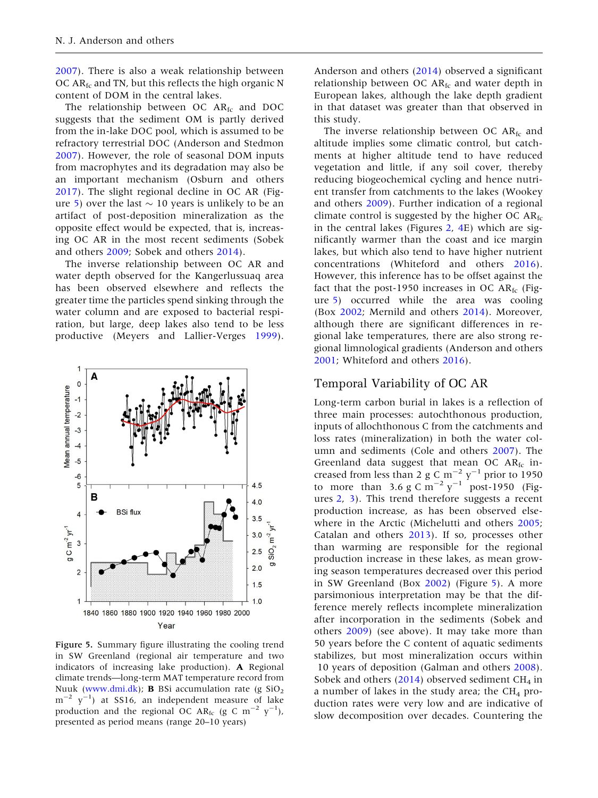<span id="page-9-0"></span>[2007\)](#page-12-0). There is also a weak relationship between OC AR<sub>fc</sub> and TN, but this reflects the high organic N content of DOM in the central lakes.

The relationship between OC  $AR<sub>fc</sub>$  and DOC suggests that the sediment OM is partly derived from the in-lake DOC pool, which is assumed to be refractory terrestrial DOC (Anderson and Stedmon [2007\)](#page-12-0). However, the role of seasonal DOM inputs from macrophytes and its degradation may also be an important mechanism (Osburn and others [2017\)](#page-14-0). The slight regional decline in OC AR (Figure 5) over the last  $\sim$  10 years is unlikely to be an artifact of post-deposition mineralization as the opposite effect would be expected, that is, increasing OC AR in the most recent sediments (Sobek and others [2009;](#page-14-0) Sobek and others [2014](#page-14-0)).

The inverse relationship between OC AR and water depth observed for the Kangerlussuaq area has been observed elsewhere and reflects the greater time the particles spend sinking through the water column and are exposed to bacterial respiration, but large, deep lakes also tend to be less productive (Meyers and Lallier-Verges [1999](#page-13-0)).



Figure 5. Summary figure illustrating the cooling trend in SW Greenland (regional air temperature and two indicators of increasing lake production). A Regional climate trends—long-term MAT temperature record from Nuuk ([www.dmi.dk\)](http://www.dmi.dk); **B** BSi accumulation rate (g  $SiO<sub>2</sub>$  $\text{m}^{-2}$  y<sup>-1</sup>) at SS16, an independent measure of lake production and the regional OC AR<sub>fc</sub> (g C m<sup>-2</sup>  $y^{-1}$ ), presented as period means (range 20–10 years)

Anderson and others [\(2014](#page-12-0)) observed a significant relationship between OC AR<sub>fc</sub> and water depth in European lakes, although the lake depth gradient in that dataset was greater than that observed in this study.

The inverse relationship between OC  $AR<sub>fc</sub>$  and altitude implies some climatic control, but catchments at higher altitude tend to have reduced vegetation and little, if any soil cover, thereby reducing biogeochemical cycling and hence nutrient transfer from catchments to the lakes (Wookey and others [2009\)](#page-14-0). Further indication of a regional climate control is suggested by the higher OC  $AR_{fc}$ in the central lakes (Figures [2](#page-6-0), [4E](#page-7-0)) which are significantly warmer than the coast and ice margin lakes, but which also tend to have higher nutrient concentrations (Whiteford and others [2016](#page-14-0)). However, this inference has to be offset against the fact that the post-1950 increases in OC AR $_{\text{fc}}$  (Figure 5) occurred while the area was cooling (Box [2002;](#page-13-0) Mernild and others [2014\)](#page-13-0). Moreover, although there are significant differences in regional lake temperatures, there are also strong regional limnological gradients (Anderson and others [2001;](#page-12-0) Whiteford and others [2016\)](#page-14-0).

#### Temporal Variability of OC AR

Long-term carbon burial in lakes is a reflection of three main processes: autochthonous production, inputs of allochthonous C from the catchments and loss rates (mineralization) in both the water column and sediments (Cole and others [2007](#page-13-0)). The Greenland data suggest that mean OC  $AR_{fc}$  increased from less than 2 g C  $\text{m}^{-2}$   $\text{y}^{-1}$  prior to 1950 to more than 3.6 g C  $\text{m}^{-2} \text{ y}^{-1}$  post-1950 (Figures [2,](#page-6-0) [3\)](#page-6-0). This trend therefore suggests a recent production increase, as has been observed elsewhere in the Arctic (Michelutti and others [2005](#page-14-0); Catalan and others [2013](#page-13-0)). If so, processes other than warming are responsible for the regional production increase in these lakes, as mean growing season temperatures decreased over this period in SW Greenland (Box [2002](#page-13-0)) (Figure 5). A more parsimonious interpretation may be that the difference merely reflects incomplete mineralization after incorporation in the sediments (Sobek and others [2009\)](#page-14-0) (see above). It may take more than 50 years before the C content of aquatic sediments stabilizes, but most mineralization occurs within 10 years of deposition (Galman and others [2008](#page-13-0)). Sobek and others  $(2014)$  $(2014)$  observed sediment CH<sub>4</sub> in a number of lakes in the study area; the  $CH_4$  production rates were very low and are indicative of slow decomposition over decades. Countering the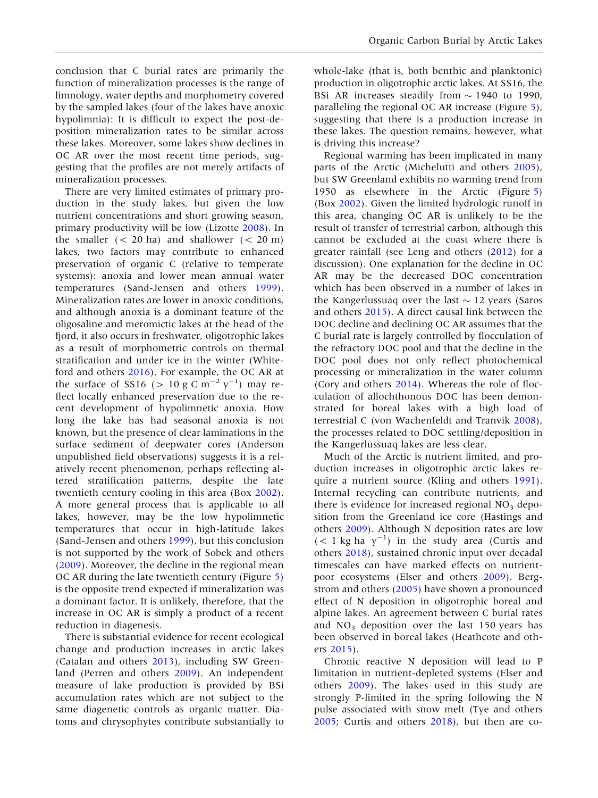conclusion that C burial rates are primarily the function of mineralization processes is the range of limnology, water depths and morphometry covered by the sampled lakes (four of the lakes have anoxic hypolimnia): It is difficult to expect the post-deposition mineralization rates to be similar across these lakes. Moreover, some lakes show declines in OC AR over the most recent time periods, suggesting that the profiles are not merely artifacts of mineralization processes.

There are very limited estimates of primary production in the study lakes, but given the low nutrient concentrations and short growing season, primary productivity will be low (Lizotte [2008\)](#page-13-0). In the smaller  $(< 20 \text{ ha})$  and shallower  $(< 20 \text{ m})$ lakes, two factors may contribute to enhanced preservation of organic C (relative to temperate systems): anoxia and lower mean annual water temperatures (Sand-Jensen and others [1999](#page-14-0)). Mineralization rates are lower in anoxic conditions, and although anoxia is a dominant feature of the oligosaline and meromictic lakes at the head of the fjord, it also occurs in freshwater, oligotrophic lakes as a result of morphometric controls on thermal stratification and under ice in the winter (Whiteford and others [2016](#page-14-0)). For example, the OC AR at the surface of SS16 ( $> 10 \text{ g C m}^{-2} \text{ y}^{-1}$ ) may reflect locally enhanced preservation due to the recent development of hypolimnetic anoxia. How long the lake has had seasonal anoxia is not known, but the presence of clear laminations in the surface sediment of deepwater cores (Anderson unpublished field observations) suggests it is a relatively recent phenomenon, perhaps reflecting altered stratification patterns, despite the late twentieth century cooling in this area (Box [2002](#page-13-0)). A more general process that is applicable to all lakes, however, may be the low hypolimnetic temperatures that occur in high-latitude lakes (Sand-Jensen and others [1999](#page-14-0)), but this conclusion is not supported by the work of Sobek and others ([2009\)](#page-14-0). Moreover, the decline in the regional mean OC AR during the late twentieth century (Figure [5](#page-9-0)) is the opposite trend expected if mineralization was a dominant factor. It is unlikely, therefore, that the increase in OC AR is simply a product of a recent reduction in diagenesis.

There is substantial evidence for recent ecological change and production increases in arctic lakes (Catalan and others [2013](#page-13-0)), including SW Greenland (Perren and others [2009](#page-14-0)). An independent measure of lake production is provided by BSi accumulation rates which are not subject to the same diagenetic controls as organic matter. Diatoms and chrysophytes contribute substantially to

whole-lake (that is, both benthic and planktonic) production in oligotrophic arctic lakes. At SS16, the BSi AR increases steadily from  $\sim$  1940 to 1990, paralleling the regional OC AR increase (Figure [5](#page-9-0)), suggesting that there is a production increase in these lakes. The question remains, however, what is driving this increase?

Regional warming has been implicated in many parts of the Arctic (Michelutti and others [2005](#page-14-0)), but SW Greenland exhibits no warming trend from 1950 as elsewhere in the Arctic (Figure [5](#page-9-0)) (Box [2002\)](#page-13-0). Given the limited hydrologic runoff in this area, changing OC AR is unlikely to be the result of transfer of terrestrial carbon, although this cannot be excluded at the coast where there is greater rainfall (see Leng and others [\(2012](#page-13-0)) for a discussion). One explanation for the decline in OC AR may be the decreased DOC concentration which has been observed in a number of lakes in the Kangerlussuaq over the last  $\sim$  12 years (Saros and others [2015\)](#page-14-0). A direct causal link between the DOC decline and declining OC AR assumes that the C burial rate is largely controlled by flocculation of the refractory DOC pool and that the decline in the DOC pool does not only reflect photochemical processing or mineralization in the water column (Cory and others [2014\)](#page-13-0). Whereas the role of flocculation of allochthonous DOC has been demonstrated for boreal lakes with a high load of terrestrial C (von Wachenfeldt and Tranvik [2008](#page-14-0)), the processes related to DOC settling/deposition in the Kangerlussuaq lakes are less clear.

Much of the Arctic is nutrient limited, and production increases in oligotrophic arctic lakes require a nutrient source (Kling and others [1991](#page-13-0)). Internal recycling can contribute nutrients, and there is evidence for increased regional  $NO<sub>3</sub>$  deposition from the Greenland ice core (Hastings and others [2009](#page-13-0)). Although N deposition rates are low  $(< 1 \text{ kg}$  ha  $y^{-1}$ ) in the study area (Curtis and others [2018\)](#page-13-0), sustained chronic input over decadal timescales can have marked effects on nutrientpoor ecosystems (Elser and others [2009](#page-13-0)). Bergstrom and others [\(2005](#page-12-0)) have shown a pronounced effect of N deposition in oligotrophic boreal and alpine lakes. An agreement between C burial rates and  $NO<sub>3</sub>$  deposition over the last 150 years has been observed in boreal lakes (Heathcote and others [2015\)](#page-13-0).

Chronic reactive N deposition will lead to P limitation in nutrient-depleted systems (Elser and others [2009\)](#page-13-0). The lakes used in this study are strongly P-limited in the spring following the N pulse associated with snow melt (Tye and others [2005;](#page-14-0) Curtis and others [2018\)](#page-13-0), but then are co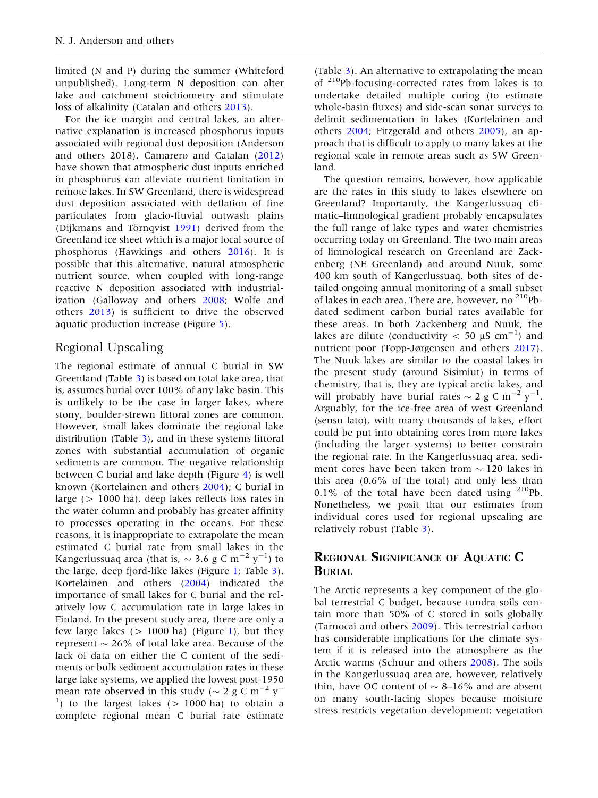limited (N and P) during the summer (Whiteford unpublished). Long-term N deposition can alter lake and catchment stoichiometry and stimulate loss of alkalinity (Catalan and others [2013](#page-13-0)).

For the ice margin and central lakes, an alternative explanation is increased phosphorus inputs associated with regional dust deposition (Anderson and others 2018). Camarero and Catalan [\(2012](#page-13-0)) have shown that atmospheric dust inputs enriched in phosphorus can alleviate nutrient limitation in remote lakes. In SW Greenland, there is widespread dust deposition associated with deflation of fine particulates from glacio-fluvial outwash plains (Dijkmans and Törnqvist [1991](#page-13-0)) derived from the Greenland ice sheet which is a major local source of phosphorus (Hawkings and others [2016](#page-13-0)). It is possible that this alternative, natural atmospheric nutrient source, when coupled with long-range reactive N deposition associated with industrialization (Galloway and others [2008](#page-13-0); Wolfe and others [2013](#page-14-0)) is sufficient to drive the observed aquatic production increase (Figure [5\)](#page-9-0).

## Regional Upscaling

The regional estimate of annual C burial in SW Greenland (Table [3](#page-7-0)) is based on total lake area, that is, assumes burial over 100% of any lake basin. This is unlikely to be the case in larger lakes, where stony, boulder-strewn littoral zones are common. However, small lakes dominate the regional lake distribution (Table [3](#page-7-0)), and in these systems littoral zones with substantial accumulation of organic sediments are common. The negative relationship between C burial and lake depth (Figure [4](#page-7-0)) is well known (Kortelainen and others [2004](#page-13-0)); C burial in large (> 1000 ha), deep lakes reflects loss rates in the water column and probably has greater affinity to processes operating in the oceans. For these reasons, it is inappropriate to extrapolate the mean estimated C burial rate from small lakes in the Kangerlussuaq area (that is,  $\sim$  3.6 g C m $^{-2}$  y $^{-1}$ ) to the large, deep fjord-like lakes (Figure [1;](#page-2-0) Table [3](#page-7-0)). Kortelainen and others ([2004](#page-13-0)) indicated the importance of small lakes for C burial and the relatively low C accumulation rate in large lakes in Finland. In the present study area, there are only a few large lakes  $(> 1000$  ha) (Figure [1\)](#page-2-0), but they represent  $\sim$  26% of total lake area. Because of the lack of data on either the C content of the sediments or bulk sediment accumulation rates in these large lake systems, we applied the lowest post-1950 mean rate observed in this study ( $\sim$  2 g C m<sup>-2</sup> y<sup>-</sup>  $\vert$ ) to the largest lakes (> 1000 ha) to obtain a complete regional mean C burial rate estimate

(Table [3](#page-7-0)). An alternative to extrapolating the mean of 210Pb-focusing-corrected rates from lakes is to undertake detailed multiple coring (to estimate whole-basin fluxes) and side-scan sonar surveys to delimit sedimentation in lakes (Kortelainen and others [2004](#page-13-0); Fitzgerald and others [2005\)](#page-13-0), an approach that is difficult to apply to many lakes at the regional scale in remote areas such as SW Greenland.

The question remains, however, how applicable are the rates in this study to lakes elsewhere on Greenland? Importantly, the Kangerlussuaq climatic–limnological gradient probably encapsulates the full range of lake types and water chemistries occurring today on Greenland. The two main areas of limnological research on Greenland are Zackenberg (NE Greenland) and around Nuuk, some 400 km south of Kangerlussuaq, both sites of detailed ongoing annual monitoring of a small subset of lakes in each area. There are, however, no <sup>210</sup>Pbdated sediment carbon burial rates available for these areas. In both Zackenberg and Nuuk, the lakes are dilute (conductivity  $< 50 \mu S \text{ cm}^{-1}$ ) and nutrient poor (Topp-Jørgensen and others [2017](#page-14-0)). The Nuuk lakes are similar to the coastal lakes in the present study (around Sisimiut) in terms of chemistry, that is, they are typical arctic lakes, and will probably have burial rates  $\sim$  2 g C m<sup>-2</sup> y<sup>-1</sup>. Arguably, for the ice-free area of west Greenland (sensu lato), with many thousands of lakes, effort could be put into obtaining cores from more lakes (including the larger systems) to better constrain the regional rate. In the Kangerlussuaq area, sediment cores have been taken from  $\sim$  120 lakes in this area (0.6% of the total) and only less than 0.1% of the total have been dated using  $210Pb$ . Nonetheless, we posit that our estimates from individual cores used for regional upscaling are relatively robust (Table [3](#page-7-0)).

## REGIONAL SIGNIFICANCE OF AQUATIC C BURIAL

The Arctic represents a key component of the global terrestrial C budget, because tundra soils contain more than 50% of C stored in soils globally (Tarnocai and others [2009\)](#page-14-0). This terrestrial carbon has considerable implications for the climate system if it is released into the atmosphere as the Arctic warms (Schuur and others [2008](#page-14-0)). The soils in the Kangerlussuaq area are, however, relatively thin, have OC content of  $\sim$  8–16% and are absent on many south-facing slopes because moisture stress restricts vegetation development; vegetation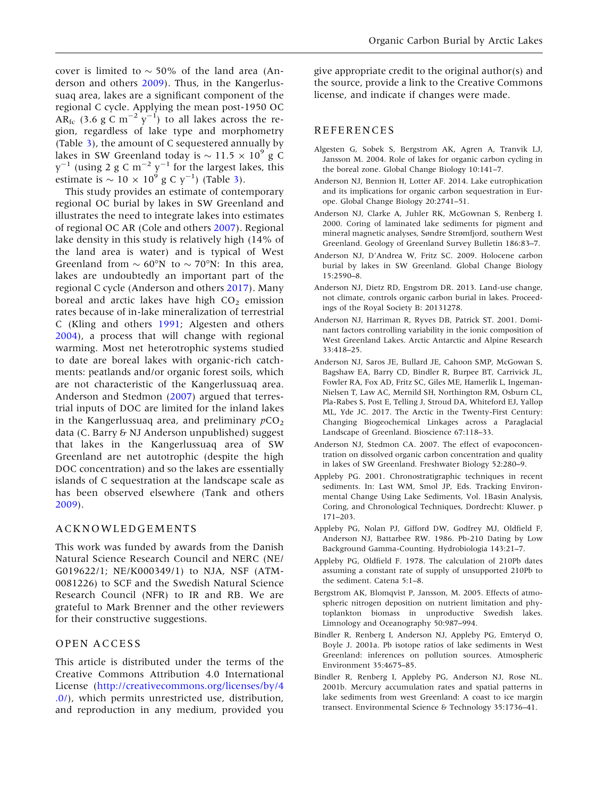<span id="page-12-0"></span>cover is limited to  $\sim$  50% of the land area (Anderson and others 2009). Thus, in the Kangerlussuaq area, lakes are a significant component of the regional C cycle. Applying the mean post-1950 OC AR<sub>fc</sub> (3.6 g C m<sup>-2</sup>  $\hat{y}^{-1}$ ) to all lakes across the region, regardless of lake type and morphometry (Table [3](#page-7-0)), the amount of C sequestered annually by lakes in SW Greenland today is  $\sim$  11.5  $\times$  10<sup>9</sup> g C  $y^{-1}$  (using 2 g C m<sup>-2</sup>  $y^{-1}$  for the largest lakes, this estimate is  $\sim 10 \times 10^9$  g C y<sup>-1</sup>) (Table [3](#page-7-0)).

This study provides an estimate of contemporary regional OC burial by lakes in SW Greenland and illustrates the need to integrate lakes into estimates of regional OC AR (Cole and others [2007](#page-13-0)). Regional lake density in this study is relatively high (14% of the land area is water) and is typical of West Greenland from  $\sim 60^{\circ}$ N to  $\sim 70^{\circ}$ N: In this area, lakes are undoubtedly an important part of the regional C cycle (Anderson and others 2017). Many boreal and arctic lakes have high  $CO<sub>2</sub>$  emission rates because of in-lake mineralization of terrestrial C (Kling and others [1991](#page-13-0); Algesten and others 2004), a process that will change with regional warming. Most net heterotrophic systems studied to date are boreal lakes with organic-rich catchments: peatlands and/or organic forest soils, which are not characteristic of the Kangerlussuaq area. Anderson and Stedmon (2007) argued that terrestrial inputs of DOC are limited for the inland lakes in the Kangerlussuaq area, and preliminary  $pCO<sub>2</sub>$ data (C. Barry & NJ Anderson unpublished) suggest that lakes in the Kangerlussuaq area of SW Greenland are net autotrophic (despite the high DOC concentration) and so the lakes are essentially islands of C sequestration at the landscape scale as has been observed elsewhere (Tank and others [2009\)](#page-14-0).

#### ACKNOWLEDGEMENTS

This work was funded by awards from the Danish Natural Science Research Council and NERC (NE/ G019622/1; NE/K000349/1) to NJA, NSF (ATM-0081226) to SCF and the Swedish Natural Science Research Council (NFR) to IR and RB. We are grateful to Mark Brenner and the other reviewers for their constructive suggestions.

#### OPEN ACCESS

This article is distributed under the terms of the Creative Commons Attribution 4.0 International License [\(http://creativecommons.org/licenses/by/4](http://creativecommons.org/licenses/by/4.0/) [.0/](http://creativecommons.org/licenses/by/4.0/)), which permits unrestricted use, distribution, and reproduction in any medium, provided you

give appropriate credit to the original author(s) and the source, provide a link to the Creative Commons license, and indicate if changes were made.

#### REFERENCES

- Algesten G, Sobek S, Bergstrom AK, Agren A, Tranvik LJ, Jansson M. 2004. Role of lakes for organic carbon cycling in the boreal zone. Global Change Biology 10:141–7.
- Anderson NJ, Bennion H, Lotter AF. 2014. Lake eutrophication and its implications for organic carbon sequestration in Europe. Global Change Biology 20:2741–51.
- Anderson NJ, Clarke A, Juhler RK, McGownan S, Renberg I. 2000. Coring of laminated lake sediments for pigment and mineral magnetic analyses, Søndre Strømfjord, southern West Greenland. Geology of Greenland Survey Bulletin 186:83–7.
- Anderson NJ, D'Andrea W, Fritz SC. 2009. Holocene carbon burial by lakes in SW Greenland. Global Change Biology 15:2590–8.
- Anderson NJ, Dietz RD, Engstrom DR. 2013. Land-use change, not climate, controls organic carbon burial in lakes. Proceedings of the Royal Society B: 20131278.
- Anderson NJ, Harriman R, Ryves DB, Patrick ST. 2001. Dominant factors controlling variability in the ionic composition of West Greenland Lakes. Arctic Antarctic and Alpine Research 33:418–25.
- Anderson NJ, Saros JE, Bullard JE, Cahoon SMP, McGowan S, Bagshaw EA, Barry CD, Bindler R, Burpee BT, Carrivick JL, Fowler RA, Fox AD, Fritz SC, Giles ME, Hamerlik L, Ingeman-Nielsen T, Law AC, Mernild SH, Northington RM, Osburn CL, Pla-Rabes S, Post E, Telling J, Stroud DA, Whiteford EJ, Yallop ML, Yde JC. 2017. The Arctic in the Twenty-First Century: Changing Biogeochemical Linkages across a Paraglacial Landscape of Greenland. Bioscience 67:118–33.
- Anderson NJ, Stedmon CA. 2007. The effect of evapoconcentration on dissolved organic carbon concentration and quality in lakes of SW Greenland. Freshwater Biology 52:280–9.
- Appleby PG. 2001. Chronostratigraphic techniques in recent sediments. In: Last WM, Smol JP, Eds. Tracking Environmental Change Using Lake Sediments, Vol. 1Basin Analysis, Coring, and Chronological Techniques, Dordrecht: Kluwer. p 171–203.
- Appleby PG, Nolan PJ, Gifford DW, Godfrey MJ, Oldfield F, Anderson NJ, Battarbee RW. 1986. Pb-210 Dating by Low Background Gamma-Counting. Hydrobiologia 143:21–7.
- Appleby PG, Oldfield F. 1978. The calculation of 210Pb dates assuming a constant rate of supply of unsupported 210Pb to the sediment. Catena 5:1–8.
- Bergstrom AK, Blomqvist P, Jansson, M. 2005. Effects of atmospheric nitrogen deposition on nutrient limitation and phytoplankton biomass in unproductive Swedish lakes. Limnology and Oceanography 50:987–994.
- Bindler R, Renberg I, Anderson NJ, Appleby PG, Emteryd O, Boyle J. 2001a. Pb isotope ratios of lake sediments in West Greenland: inferences on pollution sources. Atmospheric Environment 35:4675–85.
- Bindler R, Renberg I, Appleby PG, Anderson NJ, Rose NL. 2001b. Mercury accumulation rates and spatial patterns in lake sediments from west Greenland: A coast to ice margin transect. Environmental Science & Technology 35:1736–41.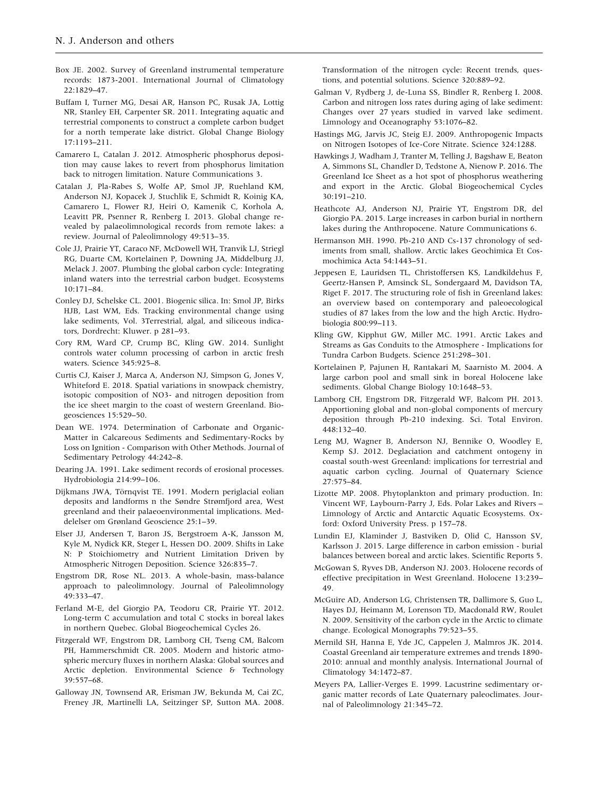- <span id="page-13-0"></span>Box JE. 2002. Survey of Greenland instrumental temperature records: 1873-2001. International Journal of Climatology 22:1829–47.
- Buffam I, Turner MG, Desai AR, Hanson PC, Rusak JA, Lottig NR, Stanley EH, Carpenter SR. 2011. Integrating aquatic and terrestrial components to construct a complete carbon budget for a north temperate lake district. Global Change Biology 17:1193–211.
- Camarero L, Catalan J. 2012. Atmospheric phosphorus deposition may cause lakes to revert from phosphorus limitation back to nitrogen limitation. Nature Communications 3.
- Catalan J, Pla-Rabes S, Wolfe AP, Smol JP, Ruehland KM, Anderson NJ, Kopacek J, Stuchlik E, Schmidt R, Koinig KA, Camarero L, Flower RJ, Heiri O, Kamenik C, Korhola A, Leavitt PR, Psenner R, Renberg I. 2013. Global change revealed by palaeolimnological records from remote lakes: a review. Journal of Paleolimnology 49:513–35.
- Cole JJ, Prairie YT, Caraco NF, McDowell WH, Tranvik LJ, Striegl RG, Duarte CM, Kortelainen P, Downing JA, Middelburg JJ, Melack J. 2007. Plumbing the global carbon cycle: Integrating inland waters into the terrestrial carbon budget. Ecosystems 10:171–84.
- Conley DJ, Schelske CL. 2001. Biogenic silica. In: Smol JP, Birks HJB, Last WM, Eds. Tracking environmental change using lake sediments, Vol. 3Terrestrial, algal, and siliceous indicators, Dordrecht: Kluwer. p 281–93.
- Cory RM, Ward CP, Crump BC, Kling GW. 2014. Sunlight controls water column processing of carbon in arctic fresh waters. Science 345:925–8.
- Curtis CJ, Kaiser J, Marca A, Anderson NJ, Simpson G, Jones V, Whiteford E. 2018. Spatial variations in snowpack chemistry, isotopic composition of NO3- and nitrogen deposition from the ice sheet margin to the coast of western Greenland. Biogeosciences 15:529–50.
- Dean WE. 1974. Determination of Carbonate and Organic-Matter in Calcareous Sediments and Sedimentary-Rocks by Loss on Ignition - Comparison with Other Methods. Journal of Sedimentary Petrology 44:242–8.
- Dearing JA. 1991. Lake sediment records of erosional processes. Hydrobiologia 214:99–106.
- Dijkmans JWA, Törnqvist TE. 1991. Modern periglacial eolian deposits and landforms n the Søndre Strømfjord area, West greenland and their palaeoenvironmental implications. Meddelelser om Grønland Geoscience 25:1–39.
- Elser JJ, Andersen T, Baron JS, Bergstroem A-K, Jansson M, Kyle M, Nydick KR, Steger L, Hessen DO. 2009. Shifts in Lake N: P Stoichiometry and Nutrient Limitation Driven by Atmospheric Nitrogen Deposition. Science 326:835–7.
- Engstrom DR, Rose NL. 2013. A whole-basin, mass-balance approach to paleolimnology. Journal of Paleolimnology 49:333–47.
- Ferland M-E, del Giorgio PA, Teodoru CR, Prairie YT. 2012. Long-term C accumulation and total C stocks in boreal lakes in northern Quebec. Global Biogeochemical Cycles 26.
- Fitzgerald WF, Engstrom DR, Lamborg CH, Tseng CM, Balcom PH, Hammerschmidt CR. 2005. Modern and historic atmospheric mercury fluxes in northern Alaska: Global sources and Arctic depletion. Environmental Science & Technology 39:557–68.
- Galloway JN, Townsend AR, Erisman JW, Bekunda M, Cai ZC, Freney JR, Martinelli LA, Seitzinger SP, Sutton MA. 2008.

Transformation of the nitrogen cycle: Recent trends, questions, and potential solutions. Science 320:889–92.

- Galman V, Rydberg J, de-Luna SS, Bindler R, Renberg I. 2008. Carbon and nitrogen loss rates during aging of lake sediment: Changes over 27 years studied in varved lake sediment. Limnology and Oceanography 53:1076–82.
- Hastings MG, Jarvis JC, Steig EJ. 2009. Anthropogenic Impacts on Nitrogen Isotopes of Ice-Core Nitrate. Science 324:1288.
- Hawkings J, Wadham J, Tranter M, Telling J, Bagshaw E, Beaton A, Simmons SL, Chandler D, Tedstone A, Nienow P. 2016. The Greenland Ice Sheet as a hot spot of phosphorus weathering and export in the Arctic. Global Biogeochemical Cycles 30:191–210.
- Heathcote AJ, Anderson NJ, Prairie YT, Engstrom DR, del Giorgio PA. 2015. Large increases in carbon burial in northern lakes during the Anthropocene. Nature Communications 6.
- Hermanson MH. 1990. Pb-210 AND Cs-137 chronology of sediments from small, shallow. Arctic lakes Geochimica Et Cosmochimica Acta 54:1443–51.
- Jeppesen E, Lauridsen TL, Christoffersen KS, Landkildehus F, Geertz-Hansen P, Amsinck SL, Sondergaard M, Davidson TA, Riget F. 2017. The structuring role of fish in Greenland lakes: an overview based on contemporary and paleoecological studies of 87 lakes from the low and the high Arctic. Hydrobiologia 800:99–113.
- Kling GW, Kipphut GW, Miller MC. 1991. Arctic Lakes and Streams as Gas Conduits to the Atmosphere - Implications for Tundra Carbon Budgets. Science 251:298–301.
- Kortelainen P, Pajunen H, Rantakari M, Saarnisto M. 2004. A large carbon pool and small sink in boreal Holocene lake sediments. Global Change Biology 10:1648–53.
- Lamborg CH, Engstrom DR, Fitzgerald WF, Balcom PH. 2013. Apportioning global and non-global components of mercury deposition through Pb-210 indexing. Sci. Total Environ.  $448:132-40.$
- Leng MJ, Wagner B, Anderson NJ, Bennike O, Woodley E, Kemp SJ. 2012. Deglaciation and catchment ontogeny in coastal south-west Greenland: implications for terrestrial and aquatic carbon cycling. Journal of Quaternary Science 27:575–84.
- Lizotte MP. 2008. Phytoplankton and primary production. In: Vincent WF, Laybourn-Parry J, Eds. Polar Lakes and Rivers – Limnology of Arctic and Antarctic Aquatic Ecosystems. Oxford: Oxford University Press. p 157–78.
- Lundin EJ, Klaminder J, Bastviken D, Olid C, Hansson SV, Karlsson J. 2015. Large difference in carbon emission - burial balances between boreal and arctic lakes. Scientific Reports 5.
- McGowan S, Ryves DB, Anderson NJ. 2003. Holocene records of effective precipitation in West Greenland. Holocene 13:239– 49.
- McGuire AD, Anderson LG, Christensen TR, Dallimore S, Guo L, Hayes DJ, Heimann M, Lorenson TD, Macdonald RW, Roulet N. 2009. Sensitivity of the carbon cycle in the Arctic to climate change. Ecological Monographs 79:523–55.
- Mernild SH, Hanna E, Yde JC, Cappelen J, Malmros JK. 2014. Coastal Greenland air temperature extremes and trends 1890- 2010: annual and monthly analysis. International Journal of Climatology 34:1472–87.
- Meyers PA, Lallier-Verges E. 1999. Lacustrine sedimentary organic matter records of Late Quaternary paleoclimates. Journal of Paleolimnology 21:345–72.